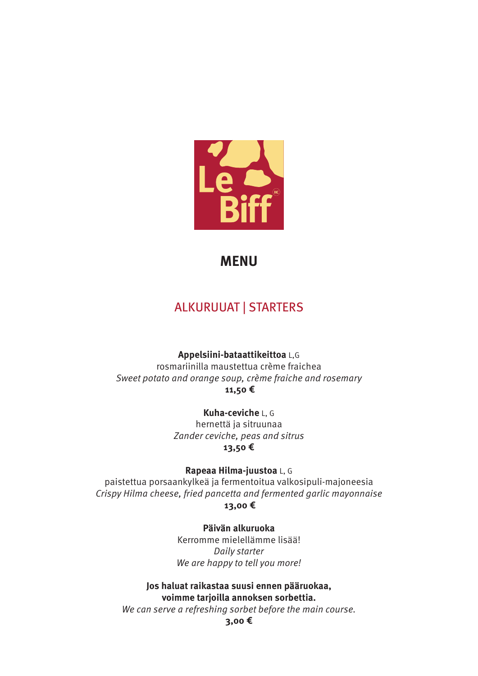

### **MENU**

### ALKURUUAT | STARTERS

**Appelsiini-bataattikeittoa** L,G

rosmariinilla maustettua crème fraichea Sweet potato and orange soup, crème fraiche and rosemary **11,50 €**

> **Kuha-ceviche** L, G hernettä ja sitruunaa Zander ceviche, peas and sitrus **13,50 €**

**Rapeaa Hilma-juustoa** L, G paistettua porsaankylkeä ja fermentoitua valkosipuli-majoneesia Crispy Hilma cheese, fried pancetta and fermented garlic mayonnaise

**13,00 €**

**Päivän alkuruoka** Kerromme mielellämme lisää! Daily starter We are happy to tell you more!

**Jos haluat raikastaa suusi ennen pääruokaa, voimme tarjoilla annoksen sorbettia.**

We can serve a refreshing sorbet before the main course.

**3,00 €**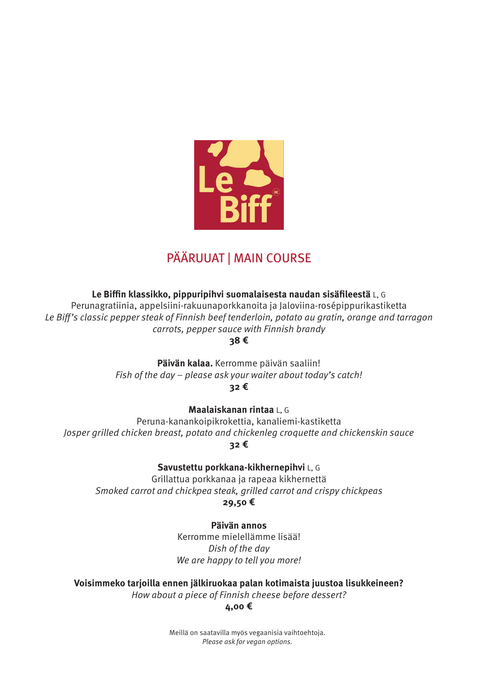

# PÄÄRUUAT | MAIN COURSE

**Le Biffin klassikko, pippuripihvi suomalaisesta naudan sisäfileestä** L, G

Perunagratiinia, appelsiini-rakuunaporkkanoita ja Jaloviina-rosépippurikastiketta Le Biff's classic pepper steak of Finnish beef tenderloin, potato au gratin, orange and tarragon carrots, pepper sauce with Finnish brandy **38 €**

> **Päivän kalaa.** Kerromme päivän saaliin! Fish of the day – please ask your waiter about today's catch! **32 €**

**Maalaiskanan rintaa** L, G

Peruna-kanankoipikrokettia, kanaliemi-kastiketta Josper grilled chicken breast, potato and chickenleg croquette and chickenskin sauce **32 €**

**Savustettu porkkana-kikhernepihvi** L, G

Grillattua porkkanaa ja rapeaa kikhernettä Smoked carrot and chickpea steak, grilled carrot and crispy chickpeas **29,50 €**

> **Päivän annos** Kerromme mielellämme lisää! Dish of the day We are happy to tell you more!

**Voisimmeko tarjoilla ennen jälkiruokaa palan kotimaista juustoa lisukkeineen?** How about a piece of Finnish cheese before dessert?

**4,00 €**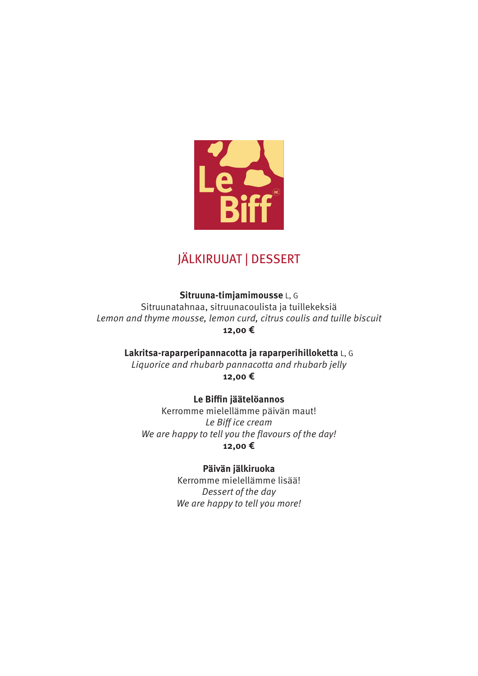

## JÄLKIRUUAT | DESSERT

**Sitruuna-timjamimousse** L, G Sitruunatahnaa, sitruunacoulista ja tuillekeksiä Lemon and thyme mousse, lemon curd, citrus coulis and tuille biscuit **12,00 €**

**Lakritsa-raparperipannacotta ja raparperihilloketta** L, G Liquorice and rhubarb pannacotta and rhubarb jelly

**12,00 €**

**Le Biffin jäätelöannos**

Kerromme mielellämme päivän maut! Le Biff ice cream We are happy to tell you the flavours of the day! **12,00 €**

**Päivän jälkiruoka**

Kerromme mielellämme lisää! Dessert of the day We are happy to tell you more!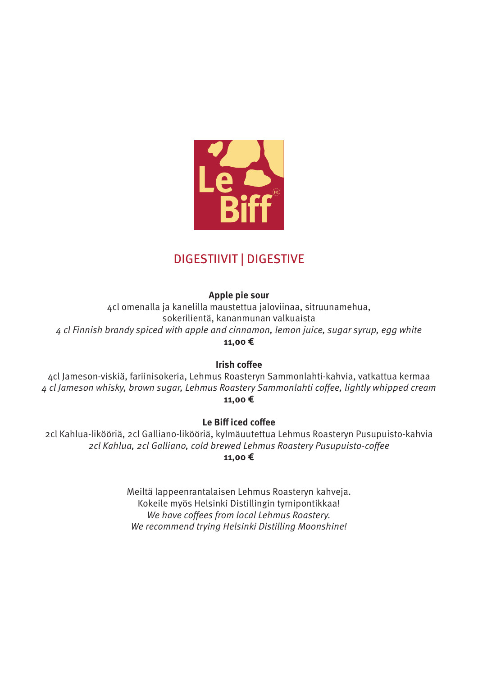

# DIGESTIIVIT | DIGESTIVE

#### **Apple pie sour**

4cl omenalla ja kanelilla maustettua jaloviinaa, sitruunamehua, sokerilientä, kananmunan valkuaista 4 cl Finnish brandy spiced with apple and cinnamon, lemon juice, sugar syrup, egg white **11,00 €**

#### **Irish coffee**

4cl Jameson-viskiä, fariinisokeria, Lehmus Roasteryn Sammonlahti-kahvia, vatkattua kermaa 4 cl Jameson whisky, brown sugar, Lehmus Roastery Sammonlahti coffee, lightly whipped cream **11,00 €**

#### **Le Biff iced coffee**

2cl Kahlua-likööriä, 2cl Galliano-likööriä, kylmäuutettua Lehmus Roasteryn Pusupuisto-kahvia 2cl Kahlua, 2cl Galliano, cold brewed Lehmus Roastery Pusupuisto-coffee

#### **11,00 €**

Meiltä lappeenrantalaisen Lehmus Roasteryn kahveja. Kokeile myös Helsinki Distillingin tyrnipontikkaa! We have coffees from local Lehmus Roastery. We recommend trying Helsinki Distilling Moonshine!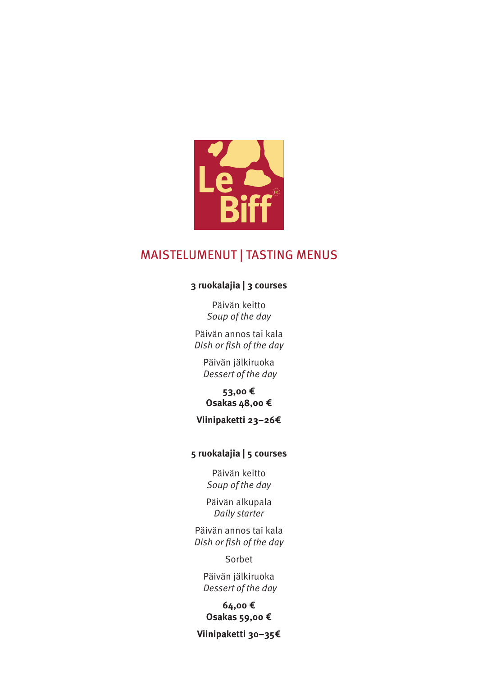

### MAISTELUMENUT | TASTING MENUS

#### **3 ruokalajia | 3 courses**

Päivän keitto Soup of the day

Päivän annos tai kala Dish or fish of the day

Päivän jälkiruoka Dessert of the day

**53,00 € Osakas 48,00 €**

### **Viinipaketti 23–26€**

#### **5 ruokalajia | 5 courses**

Päivän keitto Soup of the day

Päivän alkupala Daily starter

Päivän annos tai kala Dish or fish of the day

Sorbet

Päivän jälkiruoka Dessert of the day

#### **64,00 € Osakas 59,00 €**

**Viinipaketti 30–35€**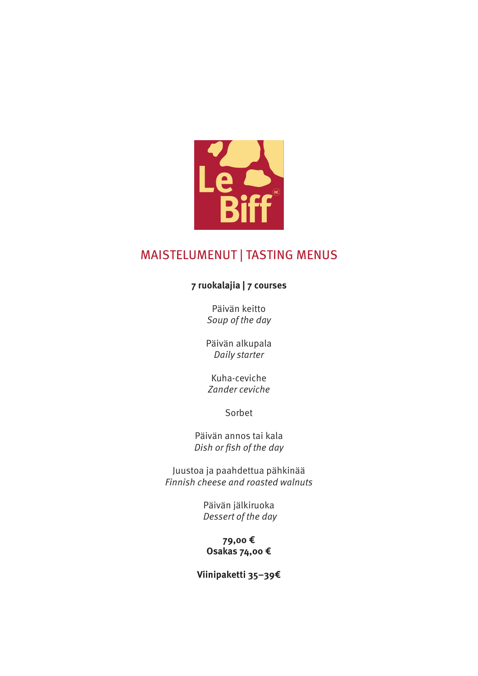

### MAISTELUMENUT | TASTING MENUS

### **7 ruokalajia | 7 courses**

Päivän keitto Soup of the day

Päivän alkupala Daily starter

Kuha-ceviche Zander ceviche

Sorbet

Päivän annos tai kala Dish or fish of the day

Juustoa ja paahdettua pähkinää Finnish cheese and roasted walnuts

> Päivän jälkiruoka Dessert of the day

**79,00 € Osakas 74,00 €**

**Viinipaketti 35–39€**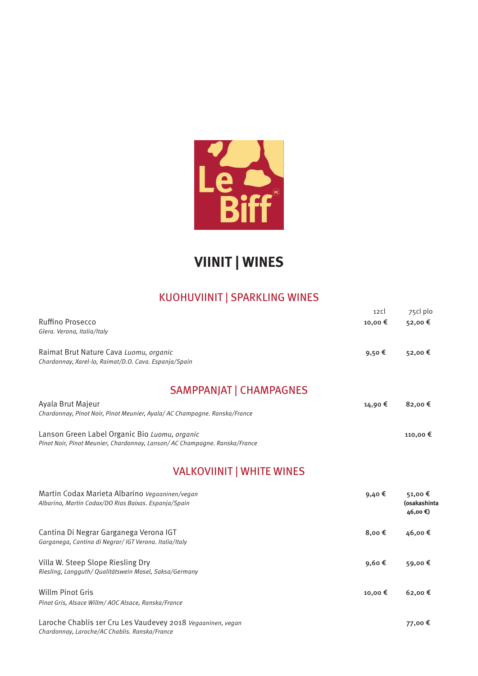

# **VIINIT | WINES**

### KUOHUVIINIT | SPARKLING WINES

|                                                                           | 12c     | 75cl plo  |
|---------------------------------------------------------------------------|---------|-----------|
| Ruffino Prosecco                                                          | 10,00 € | 52,00 €   |
| Glera. Verona, Italia/Italy                                               |         |           |
| Raimat Brut Nature Cava Luomu, organic                                    | 9,50€   | 52,00 €   |
| Chardonnay, Xarel-lo, Raimat/D.O. Cava. Espanja/Spain                     |         |           |
| <b>SAMPPANJAT   CHAMPAGNES</b>                                            |         |           |
| Ayala Brut Majeur                                                         | 14,90 € | $82,00$ € |
| Chardonnay, Pinot Noir, Pinot Meunier, Ayala/AC Champagne. Ranska/France  |         |           |
| Lanson Green Label Organic Bio Luomu, organic                             |         | 110,00 €  |
| Pinot Noir, Pinot Meunier, Chardonnay, Lanson/AC Champagne, Ranska/France |         |           |

### VALKOVIINIT | WHITE WINES

| Martin Codax Marieta Albarino Vegaaninen/vegan<br>Albarino, Martin Codax/DO Rias Baixas. Espanja/Spain | 9,40€           | 51,00€<br>(osakashinta<br>46,00 €) |
|--------------------------------------------------------------------------------------------------------|-----------------|------------------------------------|
| Cantina Di Negrar Garganega Verona IGT<br>Garganega, Cantina di Negrar/ IGT Verona, Italia/Italy       | 8,00 $\epsilon$ | 46,00€                             |
| Villa W. Steep Slope Riesling Dry<br>Riesling, Langguth/ Qualitätswein Mosel, Saksa/Germany            | 9,60€           | 59,00€                             |
| Willm Pinot Gris<br>Pinot Gris, Alsace Willm/AOC Alsace, Ranska/France                                 | 10,00 €         | $62,00 \in$                        |

Laroche Chablis 1er Cru Les Vaudevey 2018 Vegaaninen, vegan 77,00 € Chardonnay, Laroche/AC Chablis. Ranska/France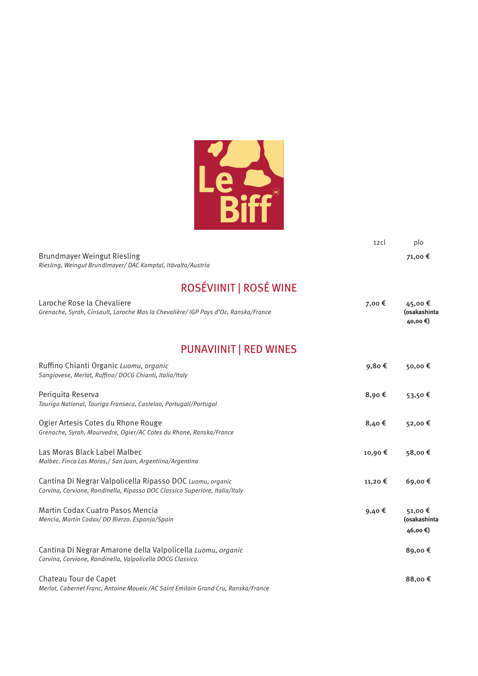

|                                                             | 12 C l | plo     |
|-------------------------------------------------------------|--------|---------|
| Brundmayer Weingut Riesling                                 |        | 71.00 € |
| Riesling, Weingut Brundlmayer/DAC Kamptal, Itävalta/Austria |        |         |

# ROSÉVIINIT | ROSÉ WINE

| Laroche Rose la Chevaliere<br>Grenache, Syrah, Cinsault, Laroche Mas la Chevalière/ IGP Pays d'Oc, Ranska/France                         | 7,00 € | 45,00€<br>(osakashinta<br>40,00 € |
|------------------------------------------------------------------------------------------------------------------------------------------|--------|-----------------------------------|
| <b>PUNAVIINIT   RED WINES</b>                                                                                                            |        |                                   |
| Ruffino Chianti Organic Luomu, organic<br>Sangiovese, Merlot, Ruffino/DOCG Chianti, Italia/Italy                                         | 9,80€  | 50,00€                            |
| Periquita Reserva<br>Touriga National, Touriga Franseca, Castelao, Portugali/Portugal                                                    | 8,90€  | 53,50€                            |
| Ogier Artesis Cotes du Rhone Rouge<br>Grenache, Syrah, Mourvedre, Ogier/AC Cotes du Rhone, Ranska/France                                 | 8,40€  | 52,00€                            |
| Las Moras Black Label Malbec<br>Malbec. Finca Las Moras, / San Juan, Argentiina/Argentina                                                | 10,90€ | 58,00€                            |
| Cantina Di Negrar Valpolicella Ripasso DOC Luomu, organic<br>Corvina, Corvione, Rondinella, Ripasso DOC Classico Superiore, Italia/Italy | 11,20€ | 69,00€                            |
| Martin Codax Cuatro Pasos Mencia<br>Mencia, Martin Codax/DO Bierzo. Espanja/Spain                                                        | 9,40€  | 51,00€<br>(osakashinta<br>46,00€) |
| Cantina Di Negrar Amarone della Valpolicella Luomu, organic<br>Corvina, Corvione, Rondinella, Valpolicella DOCG Classico.                |        | 89,00€                            |
| Chateau Tour de Capet<br>Merlot, Cabernet Franc, Antoine Moueix / AC Saint Emiloin Grand Cru, Ranska/France                              |        | 88,00€                            |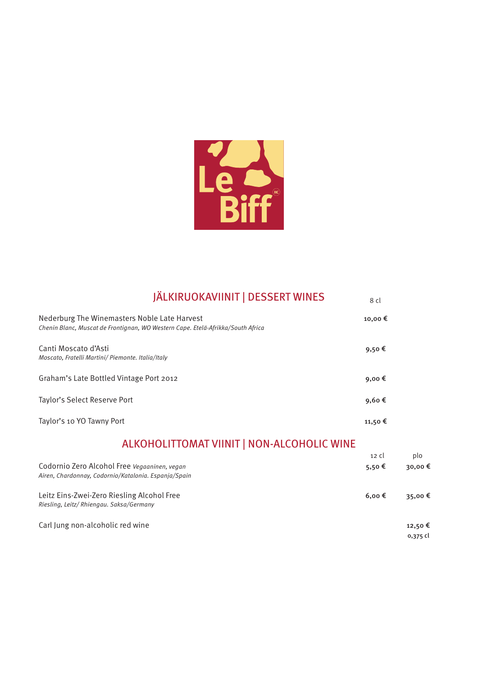

| <b>JÄLKIRUOKAVIINIT   DESSERT WINES</b>                                                                                         | 8 cl          |                    |
|---------------------------------------------------------------------------------------------------------------------------------|---------------|--------------------|
| Nederburg The Winemasters Noble Late Harvest<br>Chenin Blanc, Muscat de Frontignan, WO Western Cape. Etelä-Afrikka/South Africa | 10,00€        |                    |
| Canti Moscato d'Asti<br>Moscato, Fratelli Martini/ Piemonte, Italia/Italy                                                       | 9,50€         |                    |
| Graham's Late Bottled Vintage Port 2012                                                                                         | 9,00€         |                    |
| Taylor's Select Reserve Port                                                                                                    | 9,60€         |                    |
| Taylor's 10 YO Tawny Port                                                                                                       | 11,50€        |                    |
| ALKOHOLITTOMAT VIINIT   NON-ALCOHOLIC WINE                                                                                      |               |                    |
|                                                                                                                                 | $12 \,$ cl    | plo                |
| Codornio Zero Alcohol Free Vegaaninen, vegan<br>Airen, Chardonnay, Codornio/Katalonia. Espanja/Spain                            | 5,50€         | 30,00€             |
| Leitz Eins-Zwei-Zero Riesling Alcohol Free<br>Riesling, Leitz/ Rhiengau. Saksa/Germany                                          | $6,00 \notin$ | 35,00€             |
| Carl Jung non-alcoholic red wine                                                                                                |               | 12,50€<br>0,375 cl |